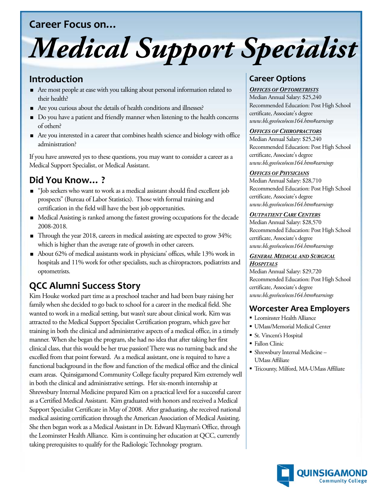## **Career Focus on…**

# *Medical Support Specialist*

## **Introduction**

- Are most people at ease with you talking about personal information related to their health?
- Are you curious about the details of health conditions and illnesses?
- Do you have a patient and friendly manner when listening to the health concerns of others?
- Are you interested in a career that combines health science and biology with office administration?

If you have answered yes to these questions, you may want to consider a career as a Medical Support Specialist, or Medical Assistant.

# **Did You Know… ?**

- "Job seekers who want to work as a medical assistant should find excellent job prospects" (Bureau of Labor Statistics). Those with formal training and certification in the field will have the best job opportunities.
- Medical Assisting is ranked among the fastest growing occupations for the decade 2008-2018.
- Through the year 2018, careers in medical assisting are expected to grow 34%; which is higher than the average rate of growth in other careers.
- About 62% of medical assistants work in physicians' offices, while 13% work in hospitals and 11% work for other specialists, such as chiropractors, podiatrists and optometrists.

# **QCC Alumni Success Story**

Kim Houke worked part time as a preschool teacher and had been busy raising her family when she decided to go back to school for a career in the medical field. She wanted to work in a medical setting, but wasn't sure about clinical work. Kim was attracted to the Medical Support Specialist Certification program, which gave her training in both the clinical and administrative aspects of a medical office, in a timely manner. When she began the program, she had no idea that after taking her first clinical class, that this would be her true passion! There was no turning back and she excelled from that point forward. As a medical assistant, one is required to have a functional background in the flow and function of the medical office and the clinical exam areas. Quinsigamond Community College faculty prepared Kim extremely well in both the clinical and administrative settings. Her six-month internship at Shrewsbury Internal Medicine prepared Kim on a practical level for a successful career as a Certified Medical Assistant. Kim graduated with honors and received a Medical Support Specialist Certificate in May of 2008. After graduating, she received national medical assisting certification through the American Association of Medical Assisting. She then began work as a Medical Assistant in Dr. Edward Klayman's Office, through the Leominster Health Alliance. Kim is continuing her education at QCC, currently taking prerequisites to qualify for the Radiologic Technology program.

## **Career Options**

#### *OFFICES OF OPTOMETRISTS*

Median Annual Salary: \$25,240 Recommended Education: Post High School certificate, Associate's degree *www.bls.gov/oco/ocos164.htm#earnings*

#### *OFFICES OF CHIROPRACTORS*

Median Annual Salary: \$25,240 Recommended Education: Post High School certificate, Associate's degree *www.bls.gov/oco/ocos164.htm#earnings*

#### *OFFICES OF PHYSICIANS*

Median Annual Salary: \$28,710 Recommended Education: Post High School certificate, Associate's degree *www.bls.gov/oco/ocos164.htm#earnings*

#### *OUTPATIENT CARE CENTERS*

Median Annual Salary: \$28,570 Recommended Education: Post High School certificate, Associate's degree *www.bls.gov/oco/ocos164.htm#earnings*

#### *GENERAL MEDICAL AND SURGICAL HOSPITALS*

Median Annual Salary: \$29,720 Recommended Education: Post High School certificate, Associate's degree *www.bls.gov/oco/ocos164.htm#earnings*

## **Worcester Area Employers**

- Leominster Health Alliance
- UMass/Memorial Medical Center
- St. Vincent's Hospital
- Fallon Clinic
- Shrewsbury Internal Medicine UMass Affiliate
- Tricounty, Milford, MA-UMass Affiliate